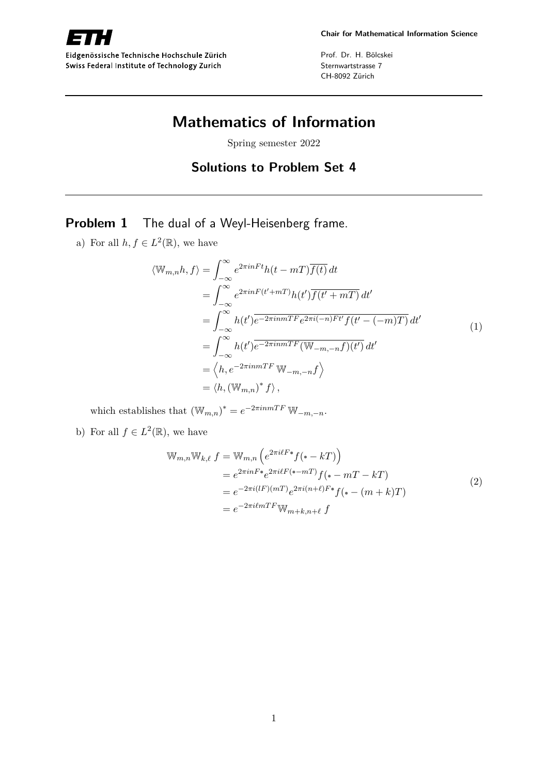

Eidgenössische Technische Hochschule Zürich Swiss Federal Institute of Technology Zurich

Prof. Dr. H. Bölcskei Sternwartstrasse 7 CH-8092 Zürich

# **Mathematics of Information**

Spring semester 2022

## **Solutions to Problem Set 4**

## **Problem 1** The dual of a Weyl-Heisenberg frame.

a) For all  $h, f \in L^2(\mathbb{R})$ , we have

$$
\langle \mathbb{W}_{m,n}h, f \rangle = \int_{-\infty}^{\infty} e^{2\pi i nFt} h(t - mT) \overline{f(t)} dt
$$
  
\n
$$
= \int_{-\infty}^{\infty} e^{2\pi i nF(t'+mT)} h(t') \overline{f(t'+mT)} dt'
$$
  
\n
$$
= \int_{-\infty}^{\infty} h(t') \overline{e^{-2\pi i n mTF}} e^{2\pi i (-n)Ft'} f(t' - (-m)T) dt'
$$
  
\n
$$
= \int_{-\infty}^{\infty} h(t') \overline{e^{-2\pi i n mTF}} (\mathbb{W}_{-m,-n}f)(t') dt'
$$
  
\n
$$
= \langle h, e^{-2\pi i n mTF} \mathbb{W}_{-m,-n}f \rangle
$$
  
\n
$$
= \langle h, (\mathbb{W}_{m,n})^* f \rangle,
$$
 (1)

which establishes that  $(\mathbb{W}_{m,n})^* = e^{-2\pi i n mTF} \mathbb{W}_{-m,-n}$ .

b) For all  $f \in L^2(\mathbb{R})$ , we have

$$
\mathbb{W}_{m,n} \mathbb{W}_{k,\ell} f = \mathbb{W}_{m,n} \left( e^{2\pi i \ell F \cdot \bullet} f(\bullet - kT) \right)
$$
  
\n
$$
= e^{2\pi i n F \cdot \bullet} e^{2\pi i \ell F(\bullet - mT)} f(\bullet - mT - kT)
$$
  
\n
$$
= e^{-2\pi i (lF)(mT)} e^{2\pi i (n+\ell) F \cdot \bullet} f(\bullet - (m+k)T)
$$
  
\n
$$
= e^{-2\pi i \ell mTF} \mathbb{W}_{m+k,n+\ell} f
$$
 (2)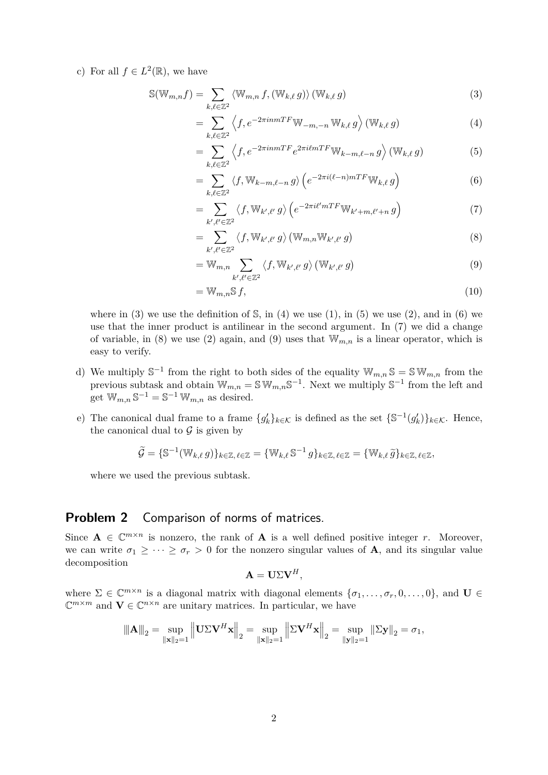c) For all  $f \in L^2(\mathbb{R})$ , we have

$$
\mathbb{S}(\mathbb{W}_{m,n}f) = \sum_{k,\ell \in \mathbb{Z}^2} \langle \mathbb{W}_{m,n} f, (\mathbb{W}_{k,\ell} g) \rangle (\mathbb{W}_{k,\ell} g)
$$
(3)

$$
= \sum_{k,\ell \in \mathbb{Z}^2} \left\langle f, e^{-2\pi i n m T F} \mathbb{W}_{-m,-n} \mathbb{W}_{k,\ell} g \right\rangle \left( \mathbb{W}_{k,\ell} g \right) \tag{4}
$$

$$
= \sum_{k,\ell \in \mathbb{Z}^2} \left\langle f, e^{-2\pi i n m T F} e^{2\pi i \ell m T F} \mathbb{W}_{k-m,\ell-n} g \right\rangle \left( \mathbb{W}_{k,\ell} g \right) \tag{5}
$$

$$
= \sum_{k,\ell \in \mathbb{Z}^2} \langle f, \mathbb{W}_{k-m,\ell-n} g \rangle \left( e^{-2\pi i (\ell-n)mTF} \mathbb{W}_{k,\ell} g \right) \tag{6}
$$

$$
= \sum_{k',\ell'\in\mathbb{Z}^2} \langle f, \mathbb{W}_{k',\ell'} g \rangle \left( e^{-2\pi i \ell' mTF} \mathbb{W}_{k'+m,\ell'+n} g \right) \tag{7}
$$

$$
=\sum_{k',\ell'\in\mathbb{Z}^2}\langle f,\mathbb{W}_{k',\ell'}g\rangle(\mathbb{W}_{m,n}\mathbb{W}_{k',\ell'}g)\tag{8}
$$

$$
= \mathbb{W}_{m,n} \sum_{k',\ell' \in \mathbb{Z}^2} \langle f, \mathbb{W}_{k',\ell'} g \rangle \left( \mathbb{W}_{k',\ell'} g \right)
$$
 (9)

$$
=\mathbb{W}_{m,n}\mathbb{S} f,\tag{10}
$$

where in (3) we use the definition of  $\mathbb{S}$ , in (4) we use (1), in (5) we use (2), and in (6) we use that the inner product is antilinear in the second argument. In (7) we did a change of variable, in (8) we use (2) again, and (9) uses that  $\mathbb{W}_{m,n}$  is a linear operator, which is easy to verify.

- d) We multiply  $\mathbb{S}^{-1}$  from the right to both sides of the equality  $\mathbb{W}_{m,n} \mathbb{S} = \mathbb{S} \mathbb{W}_{m,n}$  from the previous subtask and obtain  $\mathbb{W}_{m,n} = \mathbb{S} \mathbb{W}_{m,n} \mathbb{S}^{-1}$ . Next we multiply  $\mathbb{S}^{-1}$  from the left and get  $\mathbb{W}_{m,n} \mathbb{S}^{-1} = \mathbb{S}^{-1} \mathbb{W}_{m,n}$  as desired.
- e) The canonical dual frame to a frame  $\{g'_k\}_{k\in\mathcal{K}}$  is defined as the set  $\{\mathbb{S}^{-1}(g'_k)\}_{k\in\mathcal{K}}$ . Hence, the canonical dual to  $\mathcal G$  is given by

$$
\widetilde{\mathcal{G}} = \{ \mathbb{S}^{-1}(\mathbb{W}_{k,\ell} g) \}_{k \in \mathbb{Z}, \ell \in \mathbb{Z}} = \{ \mathbb{W}_{k,\ell} \mathbb{S}^{-1} g \}_{k \in \mathbb{Z}, \ell \in \mathbb{Z}} = \{ \mathbb{W}_{k,\ell} \widetilde{g} \}_{k \in \mathbb{Z}, \ell \in \mathbb{Z}},
$$

where we used the previous subtask.

#### **Problem 2** Comparison of norms of matrices.

Since  $A \in \mathbb{C}^{m \times n}$  is nonzero, the rank of A is a well defined positive integer *r*. Moreover, we can write  $\sigma_1 \geq \cdots \geq \sigma_r > 0$  for the nonzero singular values of **A**, and its singular value decomposition

$$
\mathbf{A} = \mathbf{U} \Sigma \mathbf{V}^H,
$$

where  $\Sigma \in \mathbb{C}^{m \times n}$  is a diagonal matrix with diagonal elements  $\{\sigma_1, \ldots, \sigma_r, 0, \ldots, 0\}$ , and  $\mathbf{U} \in$  $\mathbb{C}^{m \times m}$  and  $\mathbf{V} \in \mathbb{C}^{n \times n}$  are unitary matrices. In particular, we have

$$
\|\mathbf{A}\|_{2} = \sup_{\|\mathbf{x}\|_{2}=1} \left\| \mathbf{U} \Sigma \mathbf{V}^{H} \mathbf{x} \right\|_{2} = \sup_{\|\mathbf{x}\|_{2}=1} \left\| \Sigma \mathbf{V}^{H} \mathbf{x} \right\|_{2} = \sup_{\|\mathbf{y}\|_{2}=1} \left\| \Sigma \mathbf{y} \right\|_{2} = \sigma_{1},
$$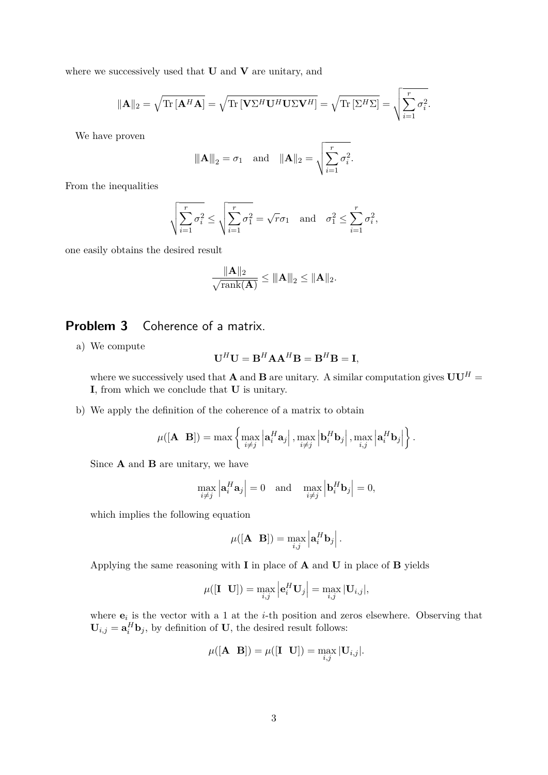where we successively used that **U** and **V** are unitary, and

$$
\|\mathbf{A}\|_2 = \sqrt{\text{Tr}\left[\mathbf{A}^H\mathbf{A}\right]} = \sqrt{\text{Tr}\left[\mathbf{V}\Sigma^H\mathbf{U}^H\mathbf{U}\Sigma\mathbf{V}^H\right]} = \sqrt{\text{Tr}\left[\Sigma^H\Sigma\right]} = \sqrt{\sum_{i=1}^r \sigma_i^2}.
$$

We have proven

$$
\|\mathbf{A}\|_2 = \sigma_1
$$
 and  $\|\mathbf{A}\|_2 = \sqrt{\sum_{i=1}^r \sigma_i^2}$ .

From the inequalities

$$
\sqrt{\sum_{i=1}^r \sigma_i^2} \le \sqrt{\sum_{i=1}^r \sigma_1^2} = \sqrt{r}\sigma_1 \text{ and } \sigma_1^2 \le \sum_{i=1}^r \sigma_i^2,
$$

one easily obtains the desired result

$$
\frac{\|\mathbf{A}\|_2}{\sqrt{\mathrm{rank}(\mathbf{A})}} \le \|\mathbf{A}\|_2 \le \|\mathbf{A}\|_2.
$$

#### **Problem 3** Coherence of a matrix.

a) We compute

$$
\mathbf{U}^H \mathbf{U} = \mathbf{B}^H \mathbf{A} \mathbf{A}^H \mathbf{B} = \mathbf{B}^H \mathbf{B} = \mathbf{I},
$$

where we successively used that **A** and **B** are unitary. A similar computation gives  $UU^H =$ **I**, from which we conclude that **U** is unitary.

b) We apply the definition of the coherence of a matrix to obtain

$$
\mu([\mathbf{A} \ \mathbf{B}]) = \max \left\{ \max_{i \neq j} \left| \mathbf{a}_i^H \mathbf{a}_j \right|, \max_{i \neq j} \left| \mathbf{b}_i^H \mathbf{b}_j \right|, \max_{i,j} \left| \mathbf{a}_i^H \mathbf{b}_j \right| \right\}.
$$

Since **A** and **B** are unitary, we have

$$
\max_{i \neq j} \left| \mathbf{a}_i^H \mathbf{a}_j \right| = 0 \quad \text{and} \quad \max_{i \neq j} \left| \mathbf{b}_i^H \mathbf{b}_j \right| = 0,
$$

which implies the following equation

$$
\mu([\mathbf{A} \quad \mathbf{B}]) = \max_{i,j} \left| \mathbf{a}_i^H \mathbf{b}_j \right|.
$$

Applying the same reasoning with **I** in place of **A** and **U** in place of **B** yields

$$
\mu([\mathbf{I} \ \mathbf{U}]) = \max_{i,j} \left| \mathbf{e}_i^H \mathbf{U}_j \right| = \max_{i,j} |\mathbf{U}_{i,j}|,
$$

where  $e_i$  is the vector with a 1 at the *i*-th position and zeros elsewhere. Observing that  $\mathbf{U}_{i,j} = \mathbf{a}_i^H \mathbf{b}_j$ , by definition of **U**, the desired result follows:

$$
\mu([\mathbf{A} \quad \mathbf{B}]) = \mu([\mathbf{I} \quad \mathbf{U}]) = \max_{i,j} |\mathbf{U}_{i,j}|.
$$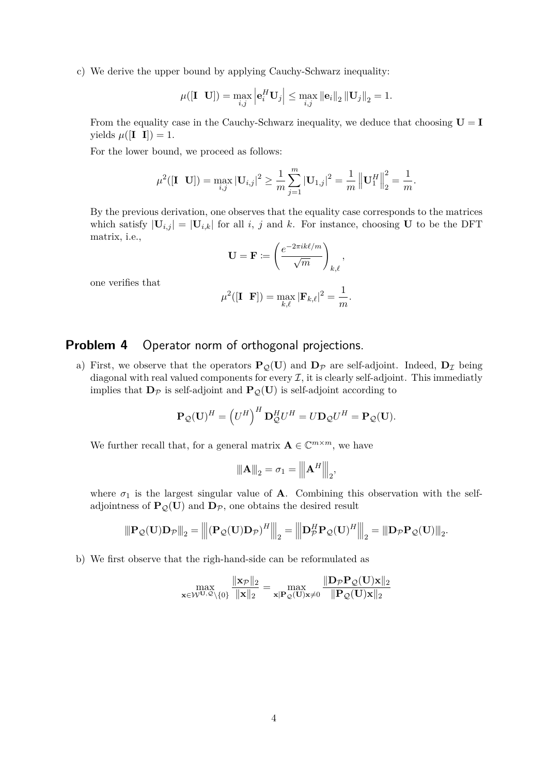c) We derive the upper bound by applying Cauchy-Schwarz inequality:

$$
\mu([\mathbf{I} \ \mathbf{U}]) = \max_{i,j} \left| \mathbf{e}_i^H \mathbf{U}_j \right| \leq \max_{i,j} \left\| \mathbf{e}_i \right\|_2 \left\| \mathbf{U}_j \right\|_2 = 1.
$$

From the equality case in the Cauchy-Schwarz inequality, we deduce that choosing  $U = I$ yields  $\mu([I \ I]) = 1$ .

For the lower bound, we proceed as follows:

$$
\mu^{2}([\mathbf{I} \ \mathbf{U}]) = \max_{i,j} |\mathbf{U}_{i,j}|^{2} \ge \frac{1}{m} \sum_{j=1}^{m} |\mathbf{U}_{1,j}|^{2} = \frac{1}{m} \left\| \mathbf{U}_{1}^{H} \right\|_{2}^{2} = \frac{1}{m}.
$$

By the previous derivation, one observes that the equality case corresponds to the matrices which satisfy  $|\mathbf{U}_{i,j}| = |\mathbf{U}_{i,k}|$  for all *i*, *j* and *k*. For instance, choosing **U** to be the DFT matrix, i.e.,

$$
\mathbf{U} = \mathbf{F} := \left(\frac{e^{-2\pi i k\ell/m}}{\sqrt{m}}\right)_{k,\ell},
$$

one verifies that

$$
\mu^2([\mathbf{I} \ \mathbf{F}]) = \max_{k,\ell} |\mathbf{F}_{k,\ell}|^2 = \frac{1}{m}.
$$

## **Problem 4** Operator norm of orthogonal projections.

a) First, we observe that the operators  $P_{\mathcal{Q}}(U)$  and  $D_{\mathcal{P}}$  are self-adjoint. Indeed,  $D_{\mathcal{I}}$  being diagonal with real valued components for every  $\mathcal{I}$ , it is clearly self-adjoint. This immediatly implies that  $D_{\mathcal{P}}$  is self-adjoint and  $P_{\mathcal{Q}}(U)$  is self-adjoint according to

$$
\mathbf{P}_{\mathcal{Q}}(\mathbf{U})^H = \left(U^H\right)^H \mathbf{D}_{\mathcal{Q}}^H U^H = U \mathbf{D}_{\mathcal{Q}} U^H = \mathbf{P}_{\mathcal{Q}}(\mathbf{U}).
$$

We further recall that, for a general matrix  $\mathbf{A} \in \mathbb{C}^{m \times m}$ , we have

$$
\|\mathbf{A}\|_{2} = \sigma_{1} = \|\mathbf{A}^{H}\|_{2},
$$

where  $\sigma_1$  is the largest singular value of **A**. Combining this observation with the selfadjointness of  $P_{\mathcal{Q}}(U)$  and  $D_{\mathcal{P}}$ , one obtains the desired result

$$
\|\mathbf{P}_{\mathcal{Q}}(\mathbf{U})\mathbf{D}_{\mathcal{P}}\|_{2} = \left\|(\mathbf{P}_{\mathcal{Q}}(\mathbf{U})\mathbf{D}_{\mathcal{P}})^{H}\right\|_{2} = \left\|\mathbf{D}_{\mathcal{P}}^{H}\mathbf{P}_{\mathcal{Q}}(\mathbf{U})^{H}\right\|_{2} = \|\mathbf{D}_{\mathcal{P}}\mathbf{P}_{\mathcal{Q}}(\mathbf{U})\|_{2}.
$$

b) We first observe that the righ-hand-side can be reformulated as

$$
\max_{\mathbf{x} \in \mathcal{W}^{\mathbf{U},\mathcal{Q}} \backslash \{\mathbf{0}\}} \frac{\|\mathbf{x}_{\mathcal{P}}\|_2}{\|\mathbf{x}\|_2} = \max_{\mathbf{x}|\mathbf{P}_{\mathcal{Q}}(\mathbf{U})\mathbf{x} \neq \mathbf{0}} \frac{\|\mathbf{D}_{\mathcal{P}}\mathbf{P}_{\mathcal{Q}}(\mathbf{U})\mathbf{x}\|_2}{\|\mathbf{P}_{\mathcal{Q}}(\mathbf{U})\mathbf{x}\|_2}
$$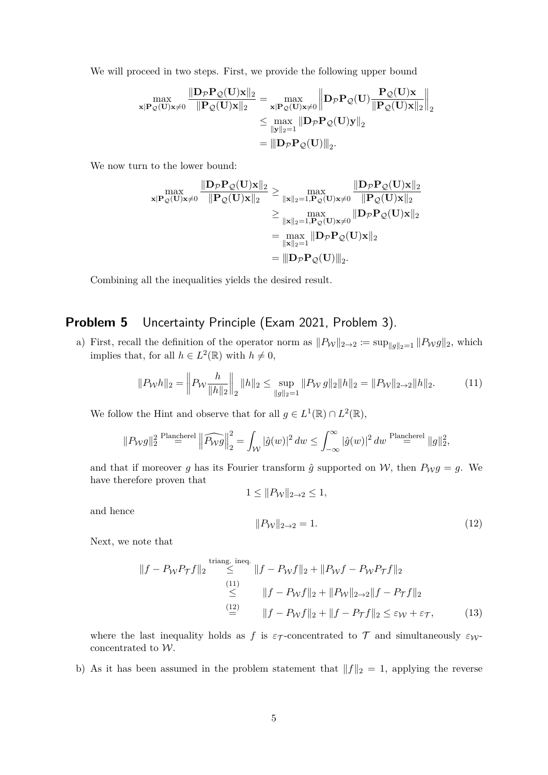We will proceed in two steps. First, we provide the following upper bound

$$
\max_{\mathbf{x}|\mathbf{P}_{\mathcal{Q}}(\mathbf{U})\mathbf{x}\neq 0}\frac{\|\mathbf{D}_{\mathcal{P}}\mathbf{P}_{\mathcal{Q}}(\mathbf{U})\mathbf{x}\|_{2}}{\|\mathbf{P}_{\mathcal{Q}}(\mathbf{U})\mathbf{x}\|_{2}}=\max_{\mathbf{x}|\mathbf{P}_{\mathcal{Q}}(\mathbf{U})\mathbf{x}\neq 0}\left\|\mathbf{D}_{\mathcal{P}}\mathbf{P}_{\mathcal{Q}}(\mathbf{U})\frac{\mathbf{P}_{\mathcal{Q}}(\mathbf{U})\mathbf{x}}{\|\mathbf{P}_{\mathcal{Q}}(\mathbf{U})\mathbf{x}\|_{2}}\right\|_{2}}{\leq \max_{\|\mathbf{y}\|_{2}=1}\|\mathbf{D}_{\mathcal{P}}\mathbf{P}_{\mathcal{Q}}(\mathbf{U})\mathbf{y}\|_{2}}\\=\|\mathbf{D}_{\mathcal{P}}\mathbf{P}_{\mathcal{Q}}(\mathbf{U})\|_{2}.
$$

We now turn to the lower bound:

$$
\max_{\mathbf{x}|\mathbf{P}_{\mathcal{Q}}(\mathbf{U})\mathbf{x}\neq0}\frac{\|\mathbf{D}_{\mathcal{P}}\mathbf{P}_{\mathcal{Q}}(\mathbf{U})\mathbf{x}\|_{2}}{\|\mathbf{P}_{\mathcal{Q}}(\mathbf{U})\mathbf{x}\|_{2}} \ge \max_{\|\mathbf{x}\|_{2}=1,\mathbf{P}_{\mathcal{Q}}(\mathbf{U})\mathbf{x}\neq0}\frac{\|\mathbf{D}_{\mathcal{P}}\mathbf{P}_{\mathcal{Q}}(\mathbf{U})\mathbf{x}\|_{2}}{\|\mathbf{P}_{\mathcal{Q}}(\mathbf{U})\mathbf{x}\|_{2}} \\ \ge \max_{\|\mathbf{x}\|_{2}=1,\mathbf{P}_{\mathcal{Q}}(\mathbf{U})\mathbf{x}\neq0}\|\mathbf{D}_{\mathcal{P}}\mathbf{P}_{\mathcal{Q}}(\mathbf{U})\mathbf{x}\|_{2} \\ = \max_{\|\mathbf{x}\|_{2}=1}\|\mathbf{D}_{\mathcal{P}}\mathbf{P}_{\mathcal{Q}}(\mathbf{U})\mathbf{x}\|_{2} \\ = \|\mathbf{D}_{\mathcal{P}}\mathbf{P}_{\mathcal{Q}}(\mathbf{U})\|_{2}.
$$

Combining all the inequalities yields the desired result.

## **Problem 5** Uncertainty Principle (Exam 2021, Problem 3).

a) First, recall the definition of the operator norm as  $||P_{\mathcal{W}}||_{2\to 2} := \sup_{||g||_2=1} ||P_{\mathcal{W}}g||_2$ , which implies that, for all  $h \in L^2(\mathbb{R})$  with  $h \neq 0$ ,

$$
||P_Wh||_2 = \left\| P_W \frac{h}{||h||_2} \right\|_2 ||h||_2 \le \sup_{||g||_2=1} ||P_Wg||_2 ||h||_2 = ||P_W||_{2\to 2} ||h||_2. \tag{11}
$$

We follow the Hint and observe that for all  $g \in L^1(\mathbb{R}) \cap L^2(\mathbb{R})$ ,

$$
||P_{\mathcal{W}}g||_2^2 \stackrel{\text{Plancherel}}{=} \left\|\widehat{P_{\mathcal{W}}g}\right\|_2^2 = \int_{\mathcal{W}} |\hat{g}(w)|^2 \, dw \le \int_{-\infty}^{\infty} |\hat{g}(w)|^2 \, dw \stackrel{\text{Plancherel}}{=} \|g\|_2^2,
$$

and that if moreover *g* has its Fourier transform  $\hat{g}$  supported on W, then  $P_Wg = g$ . We have therefore proven that

$$
1 \leq ||P_{\mathcal{W}}||_{2 \to 2} \leq 1,
$$

and hence

$$
||P_{\mathcal{W}}||_{2 \to 2} = 1. \tag{12}
$$

Next, we note that

$$
||f - P_W P_{\mathcal{T}} f||_2 \stackrel{\text{triangle, ineq.}}{\leq} ||f - P_W f||_2 + ||P_W f - P_W P_{\mathcal{T}} f||_2
$$
  
\n
$$
\stackrel{(11)}{\leq} ||f - P_W f||_2 + ||P_W||_{2 \to 2} ||f - P_{\mathcal{T}} f||_2
$$
  
\n
$$
\stackrel{(12)}{=} ||f - P_W f||_2 + ||f - P_{\mathcal{T}} f||_2 \leq \varepsilon_W + \varepsilon_{\mathcal{T}},
$$
 (13)

where the last inequality holds as f is  $\varepsilon_{\mathcal{T}}$ -concentrated to  $\mathcal{T}$  and simultaneously  $\varepsilon_{\mathcal{W}}$ concentrated to W.

b) As it has been assumed in the problem statement that  $||f||_2 = 1$ , applying the reverse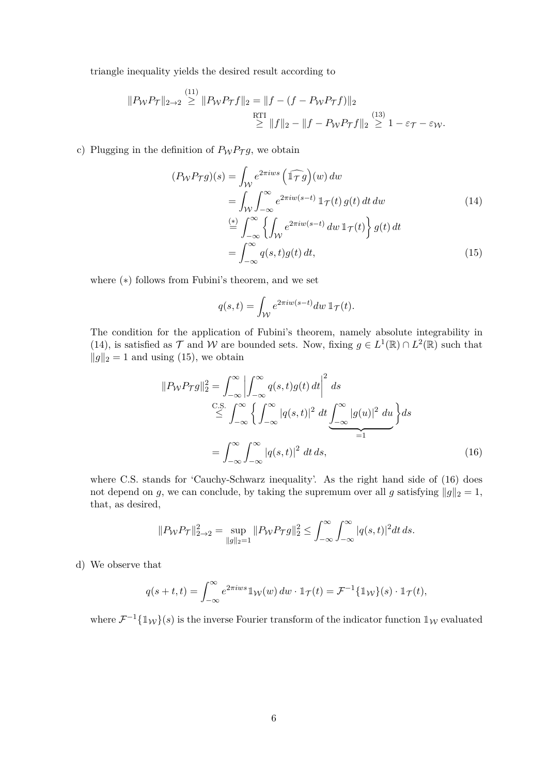triangle inequality yields the desired result according to

$$
||P_{\mathcal{W}}P_{\mathcal{T}}||_{2\to 2} \stackrel{(11)}{\geq} ||P_{\mathcal{W}}P_{\mathcal{T}}f||_2 = ||f - (f - P_{\mathcal{W}}P_{\mathcal{T}}f)||_2
$$
  

$$
\stackrel{\text{RTI}}{\geq} ||f||_2 - ||f - P_{\mathcal{W}}P_{\mathcal{T}}f||_2 \stackrel{(13)}{\geq} 1 - \varepsilon_{\mathcal{T}} - \varepsilon_{\mathcal{W}}.
$$

c) Plugging in the definition of  $P_WP_{\mathcal{T}}g$ , we obtain

$$
(P_W P_{\mathcal{T}}g)(s) = \int_{\mathcal{W}} e^{2\pi iws} \left(\widehat{\mathbb{1}\mathbb{1}\mathbb{1}}g\right)(w) dw
$$
  
\n
$$
= \int_{\mathcal{W}} \int_{-\infty}^{\infty} e^{2\pi i w(s-t)} \mathbb{1}\mathbb{1}\mathbb{1}\mathbb{1}(t) g(t) dt dw
$$
  
\n
$$
\stackrel{(*)}{=} \int_{-\infty}^{\infty} \left\{ \int_{\mathcal{W}} e^{2\pi i w(s-t)} dw \mathbb{1}\mathbb{1}\mathbb{1}(t) \right\} g(t) dt
$$
  
\n
$$
= \int_{-\infty}^{\infty} q(s,t) g(t) dt,
$$
\n(15)

where (∗) follows from Fubini's theorem, and we set

$$
q(s,t) = \int_{\mathcal{W}} e^{2\pi i w(s-t)} dw \, \mathbb{1}_{\mathcal{T}}(t).
$$

The condition for the application of Fubini's theorem, namely absolute integrability in (14), is satisfied as  $\mathcal T$  and  $\mathcal W$  are bounded sets. Now, fixing  $g \in L^1(\mathbb{R}) \cap L^2(\mathbb{R})$  such that  $||g||_2 = 1$  and using (15), we obtain

$$
||P_W P_{\mathcal{T}}g||_2^2 = \int_{-\infty}^{\infty} \left| \int_{-\infty}^{\infty} q(s, t)g(t) dt \right|^2 ds
$$
  
\n
$$
\stackrel{\text{C.S.}}{\leq} \int_{-\infty}^{\infty} \left\{ \int_{-\infty}^{\infty} |q(s, t)|^2 dt \underbrace{\int_{-\infty}^{\infty} |g(u)|^2 du}_{=1} \right\} ds
$$
  
\n
$$
= \int_{-\infty}^{\infty} \int_{-\infty}^{\infty} |q(s, t)|^2 dt ds,
$$
\n(16)

where C.S. stands for 'Cauchy-Schwarz inequality'. As the right hand side of  $(16)$  does not depend on *g*, we can conclude, by taking the supremum over all *g* satisfying  $||g||_2 = 1$ , that, as desired,

$$
||P_{\mathcal{W}}P_{\mathcal{T}}||_{2\to 2}^2 = \sup_{||g||_2=1} ||P_{\mathcal{W}}P_{\mathcal{T}}g||_2^2 \le \int_{-\infty}^{\infty} \int_{-\infty}^{\infty} |q(s,t)|^2 dt ds.
$$

d) We observe that

$$
q(s+t,t) = \int_{-\infty}^{\infty} e^{2\pi i w s} \mathbb{1}_{\mathcal{W}}(w) \, dw \cdot \mathbb{1}_{\mathcal{T}}(t) = \mathcal{F}^{-1} \{ \mathbb{1}_{\mathcal{W}}\}(s) \cdot \mathbb{1}_{\mathcal{T}}(t),
$$

where  $\mathcal{F}^{-1} \{\mathbb{1}_{\mathcal{W}}\}(s)$  is the inverse Fourier transform of the indicator function  $\mathbb{1}_{\mathcal{W}}$  evaluated